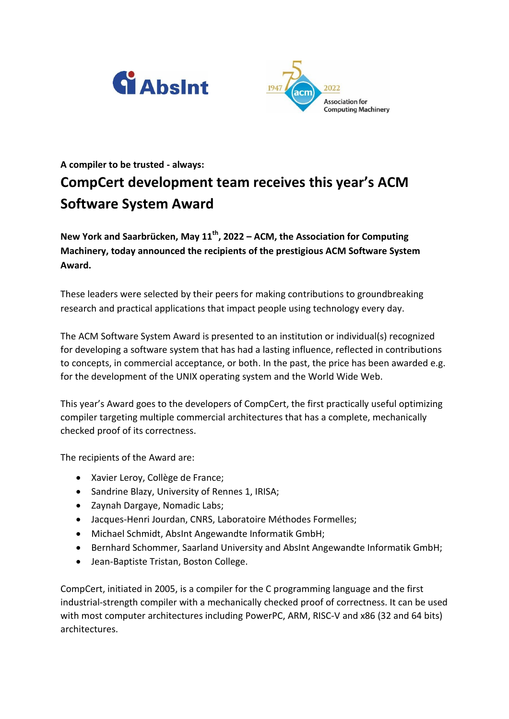



## **A compiler to be trusted - always: CompCert development team receives this year's ACM Software System Award**

**New York and Saarbrücken, May 11th, 2022 – ACM, the Association for Computing Machinery, today announced the recipients of the prestigious ACM Software System Award.**

These leaders were selected by their peers for making contributions to groundbreaking research and practical applications that impact people using technology every day.

The ACM Software System Award is presented to an institution or individual(s) recognized for developing a software system that has had a lasting influence, reflected in contributions to concepts, in commercial acceptance, or both. In the past, the price has been awarded e.g. for the development of the UNIX operating system and the World Wide Web.

This year's Award goes to the developers of CompCert, the first practically useful optimizing compiler targeting multiple commercial architectures that has a complete, mechanically checked proof of its correctness.

The recipients of the Award are:

- Xavier Leroy, Collège de France;
- Sandrine Blazy, University of Rennes 1, IRISA;
- Zaynah Dargaye, Nomadic Labs;
- Jacques-Henri Jourdan, CNRS, Laboratoire Méthodes Formelles;
- Michael Schmidt, AbsInt Angewandte Informatik GmbH;
- **•** Bernhard Schommer, Saarland University and AbsInt Angewandte Informatik GmbH;
- Jean-Baptiste Tristan, Boston College.

CompCert, initiated in 2005, is a compiler for the C programming language and the first industrial-strength compiler with a mechanically checked proof of correctness. It can be used with most computer architectures including PowerPC, ARM, RISC-V and x86 (32 and 64 bits) architectures.